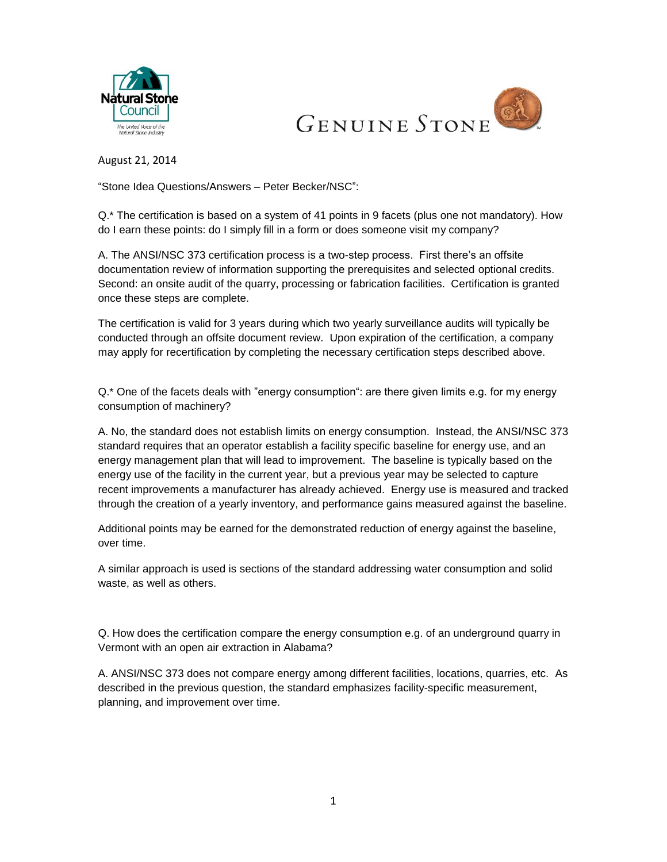



August 21, 2014

"Stone Idea Questions/Answers – Peter Becker/NSC":

Q.\* The certification is based on a system of 41 points in 9 facets (plus one not mandatory). How do I earn these points: do I simply fill in a form or does someone visit my company?

A. The ANSI/NSC 373 certification process is a two-step process. First there's an offsite documentation review of information supporting the prerequisites and selected optional credits. Second: an onsite audit of the quarry, processing or fabrication facilities. Certification is granted once these steps are complete.

The certification is valid for 3 years during which two yearly surveillance audits will typically be conducted through an offsite document review. Upon expiration of the certification, a company may apply for recertification by completing the necessary certification steps described above.

Q.\* One of the facets deals with "energy consumption": are there given limits e.g. for my energy consumption of machinery?

A. No, the standard does not establish limits on energy consumption. Instead, the ANSI/NSC 373 standard requires that an operator establish a facility specific baseline for energy use, and an energy management plan that will lead to improvement. The baseline is typically based on the energy use of the facility in the current year, but a previous year may be selected to capture recent improvements a manufacturer has already achieved. Energy use is measured and tracked through the creation of a yearly inventory, and performance gains measured against the baseline.

Additional points may be earned for the demonstrated reduction of energy against the baseline, over time.

A similar approach is used is sections of the standard addressing water consumption and solid waste, as well as others.

Q. How does the certification compare the energy consumption e.g. of an underground quarry in Vermont with an open air extraction in Alabama?

A. ANSI/NSC 373 does not compare energy among different facilities, locations, quarries, etc. As described in the previous question, the standard emphasizes facility-specific measurement, planning, and improvement over time.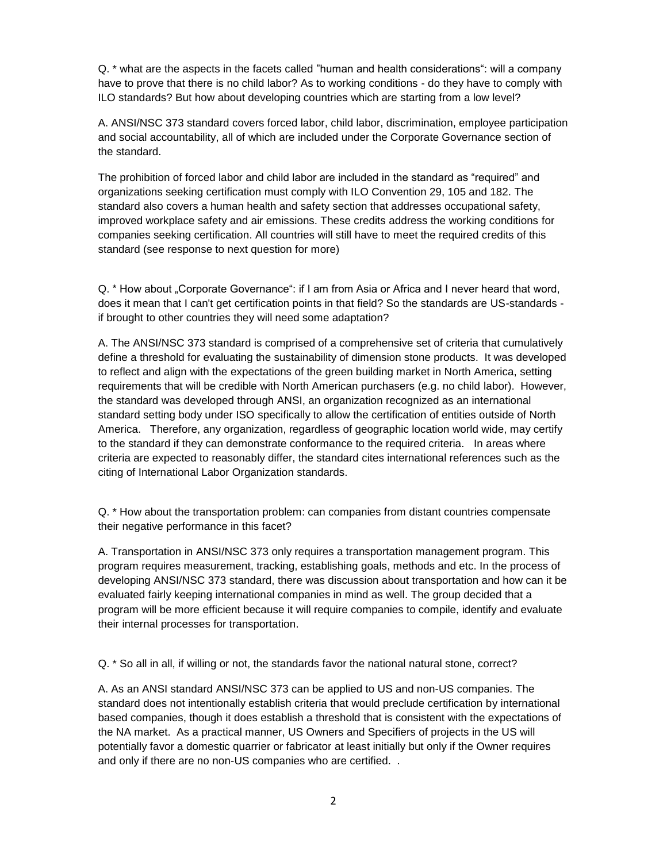Q. \* what are the aspects in the facets called "human and health considerations": will a company have to prove that there is no child labor? As to working conditions - do they have to comply with ILO standards? But how about developing countries which are starting from a low level?

A. ANSI/NSC 373 standard covers forced labor, child labor, discrimination, employee participation and social accountability, all of which are included under the Corporate Governance section of the standard.

The prohibition of forced labor and child labor are included in the standard as "required" and organizations seeking certification must comply with ILO Convention 29, 105 and 182. The standard also covers a human health and safety section that addresses occupational safety, improved workplace safety and air emissions. These credits address the working conditions for companies seeking certification. All countries will still have to meet the required credits of this standard (see response to next question for more)

Q. \* How about "Corporate Governance": if I am from Asia or Africa and I never heard that word, does it mean that I can't get certification points in that field? So the standards are US-standards if brought to other countries they will need some adaptation?

A. The ANSI/NSC 373 standard is comprised of a comprehensive set of criteria that cumulatively define a threshold for evaluating the sustainability of dimension stone products. It was developed to reflect and align with the expectations of the green building market in North America, setting requirements that will be credible with North American purchasers (e.g. no child labor). However, the standard was developed through ANSI, an organization recognized as an international standard setting body under ISO specifically to allow the certification of entities outside of North America. Therefore, any organization, regardless of geographic location world wide, may certify to the standard if they can demonstrate conformance to the required criteria. In areas where criteria are expected to reasonably differ, the standard cites international references such as the citing of International Labor Organization standards.

Q. \* How about the transportation problem: can companies from distant countries compensate their negative performance in this facet?

A. Transportation in ANSI/NSC 373 only requires a transportation management program. This program requires measurement, tracking, establishing goals, methods and etc. In the process of developing ANSI/NSC 373 standard, there was discussion about transportation and how can it be evaluated fairly keeping international companies in mind as well. The group decided that a program will be more efficient because it will require companies to compile, identify and evaluate their internal processes for transportation.

Q. \* So all in all, if willing or not, the standards favor the national natural stone, correct?

A. As an ANSI standard ANSI/NSC 373 can be applied to US and non-US companies. The standard does not intentionally establish criteria that would preclude certification by international based companies, though it does establish a threshold that is consistent with the expectations of the NA market. As a practical manner, US Owners and Specifiers of projects in the US will potentially favor a domestic quarrier or fabricator at least initially but only if the Owner requires and only if there are no non-US companies who are certified. .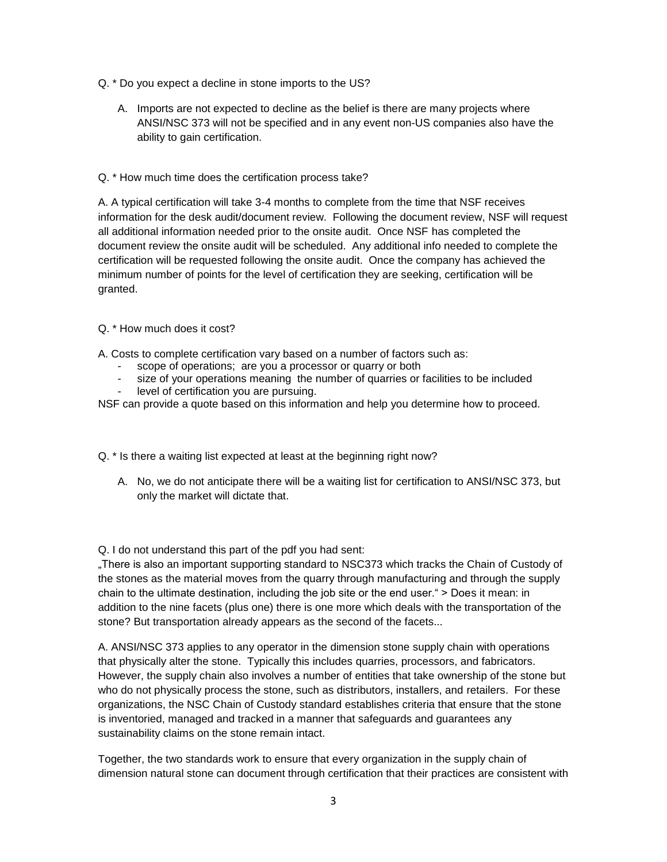- Q. \* Do you expect a decline in stone imports to the US?
	- A. Imports are not expected to decline as the belief is there are many projects where ANSI/NSC 373 will not be specified and in any event non-US companies also have the ability to gain certification.
- Q. \* How much time does the certification process take?

A. A typical certification will take 3-4 months to complete from the time that NSF receives information for the desk audit/document review. Following the document review, NSF will request all additional information needed prior to the onsite audit. Once NSF has completed the document review the onsite audit will be scheduled. Any additional info needed to complete the certification will be requested following the onsite audit. Once the company has achieved the minimum number of points for the level of certification they are seeking, certification will be granted.

## Q. \* How much does it cost?

A. Costs to complete certification vary based on a number of factors such as:

- scope of operations; are you a processor or quarry or both
- size of your operations meaning the number of quarries or facilities to be included
- level of certification you are pursuing.

NSF can provide a quote based on this information and help you determine how to proceed.

Q. \* Is there a waiting list expected at least at the beginning right now?

A. No, we do not anticipate there will be a waiting list for certification to ANSI/NSC 373, but only the market will dictate that.

Q. I do not understand this part of the pdf you had sent:

"There is also an important supporting standard to NSC373 which tracks the Chain of Custody of the stones as the material moves from the quarry through manufacturing and through the supply chain to the ultimate destination, including the job site or the end user." > Does it mean: in addition to the nine facets (plus one) there is one more which deals with the transportation of the stone? But transportation already appears as the second of the facets...

A. ANSI/NSC 373 applies to any operator in the dimension stone supply chain with operations that physically alter the stone. Typically this includes quarries, processors, and fabricators. However, the supply chain also involves a number of entities that take ownership of the stone but who do not physically process the stone, such as distributors, installers, and retailers. For these organizations, the NSC Chain of Custody standard establishes criteria that ensure that the stone is inventoried, managed and tracked in a manner that safeguards and guarantees any sustainability claims on the stone remain intact.

Together, the two standards work to ensure that every organization in the supply chain of dimension natural stone can document through certification that their practices are consistent with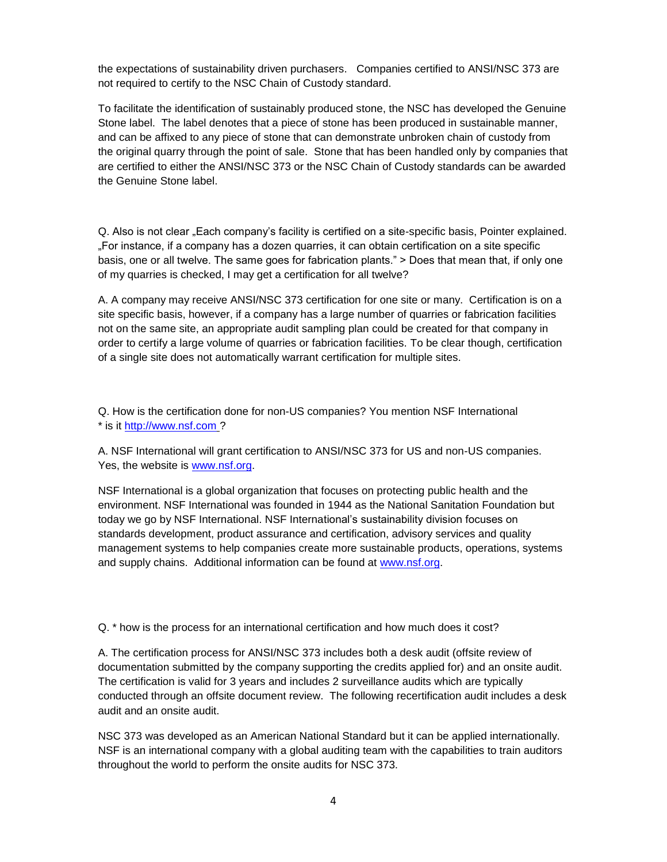the expectations of sustainability driven purchasers. Companies certified to ANSI/NSC 373 are not required to certify to the NSC Chain of Custody standard.

To facilitate the identification of sustainably produced stone, the NSC has developed the Genuine Stone label. The label denotes that a piece of stone has been produced in sustainable manner, and can be affixed to any piece of stone that can demonstrate unbroken chain of custody from the original quarry through the point of sale. Stone that has been handled only by companies that are certified to either the ANSI/NSC 373 or the NSC Chain of Custody standards can be awarded the Genuine Stone label.

Q. Also is not clear "Each company's facility is certified on a site-specific basis, Pointer explained. "For instance, if a company has a dozen quarries, it can obtain certification on a site specific basis, one or all twelve. The same goes for fabrication plants." > Does that mean that, if only one of my quarries is checked, I may get a certification for all twelve?

A. A company may receive ANSI/NSC 373 certification for one site or many. Certification is on a site specific basis, however, if a company has a large number of quarries or fabrication facilities not on the same site, an appropriate audit sampling plan could be created for that company in order to certify a large volume of quarries or fabrication facilities. To be clear though, certification of a single site does not automatically warrant certification for multiple sites.

Q. How is the certification done for non-US companies? You mention NSF International \* is it [http://www.nsf.com](http://www.nsf.com/) ?

A. NSF International will grant certification to ANSI/NSC 373 for US and non-US companies. Yes, the website is [www.nsf.org.](http://www.nsf.org/)

NSF International is a global organization that focuses on protecting public health and the environment. NSF International was founded in 1944 as the National Sanitation Foundation but today we go by NSF International. NSF International's sustainability division focuses on standards development, product assurance and certification, advisory services and quality management systems to help companies create more sustainable products, operations, systems and supply chains. Additional information can be found at [www.nsf.org.](http://www.nsf.org/)

Q. \* how is the process for an international certification and how much does it cost?

A. The certification process for ANSI/NSC 373 includes both a desk audit (offsite review of documentation submitted by the company supporting the credits applied for) and an onsite audit. The certification is valid for 3 years and includes 2 surveillance audits which are typically conducted through an offsite document review. The following recertification audit includes a desk audit and an onsite audit.

NSC 373 was developed as an American National Standard but it can be applied internationally. NSF is an international company with a global auditing team with the capabilities to train auditors throughout the world to perform the onsite audits for NSC 373.